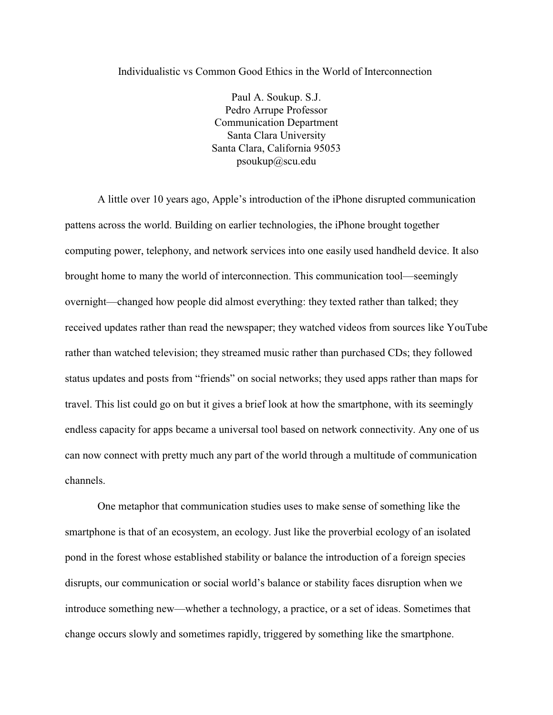Individualistic vs Common Good Ethics in the World of Interconnection

Paul A. Soukup. S.J. Pedro Arrupe Professor Communication Department Santa Clara University Santa Clara, California 95053 psoukup@scu.edu

A little over 10 years ago, Apple's introduction of the iPhone disrupted communication pattens across the world. Building on earlier technologies, the iPhone brought together computing power, telephony, and network services into one easily used handheld device. It also brought home to many the world of interconnection. This communication tool—seemingly overnight—changed how people did almost everything: they texted rather than talked; they received updates rather than read the newspaper; they watched videos from sources like YouTube rather than watched television; they streamed music rather than purchased CDs; they followed status updates and posts from "friends" on social networks; they used apps rather than maps for travel. This list could go on but it gives a brief look at how the smartphone, with its seemingly endless capacity for apps became a universal tool based on network connectivity. Any one of us can now connect with pretty much any part of the world through a multitude of communication channels.

One metaphor that communication studies uses to make sense of something like the smartphone is that of an ecosystem, an ecology. Just like the proverbial ecology of an isolated pond in the forest whose established stability or balance the introduction of a foreign species disrupts, our communication or social world's balance or stability faces disruption when we introduce something new—whether a technology, a practice, or a set of ideas. Sometimes that change occurs slowly and sometimes rapidly, triggered by something like the smartphone.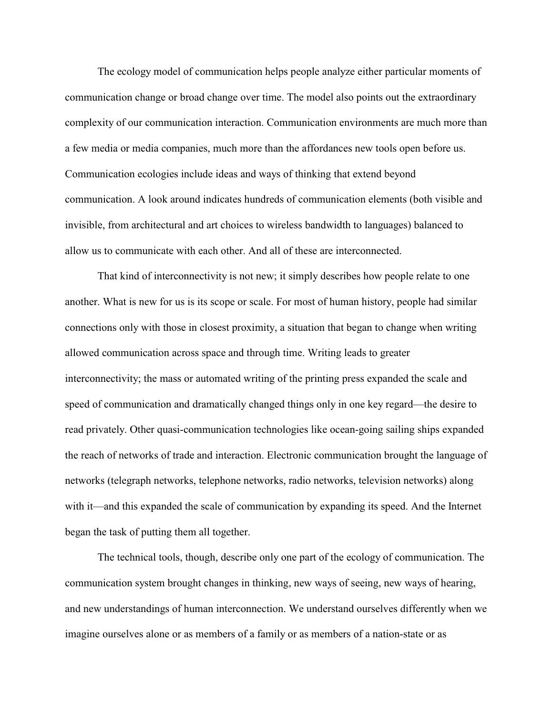The ecology model of communication helps people analyze either particular moments of communication change or broad change over time. The model also points out the extraordinary complexity of our communication interaction. Communication environments are much more than a few media or media companies, much more than the affordances new tools open before us. Communication ecologies include ideas and ways of thinking that extend beyond communication. A look around indicates hundreds of communication elements (both visible and invisible, from architectural and art choices to wireless bandwidth to languages) balanced to allow us to communicate with each other. And all of these are interconnected.

That kind of interconnectivity is not new; it simply describes how people relate to one another. What is new for us is its scope or scale. For most of human history, people had similar connections only with those in closest proximity, a situation that began to change when writing allowed communication across space and through time. Writing leads to greater interconnectivity; the mass or automated writing of the printing press expanded the scale and speed of communication and dramatically changed things only in one key regard—the desire to read privately. Other quasi-communication technologies like ocean-going sailing ships expanded the reach of networks of trade and interaction. Electronic communication brought the language of networks (telegraph networks, telephone networks, radio networks, television networks) along with it—and this expanded the scale of communication by expanding its speed. And the Internet began the task of putting them all together.

The technical tools, though, describe only one part of the ecology of communication. The communication system brought changes in thinking, new ways of seeing, new ways of hearing, and new understandings of human interconnection. We understand ourselves differently when we imagine ourselves alone or as members of a family or as members of a nation-state or as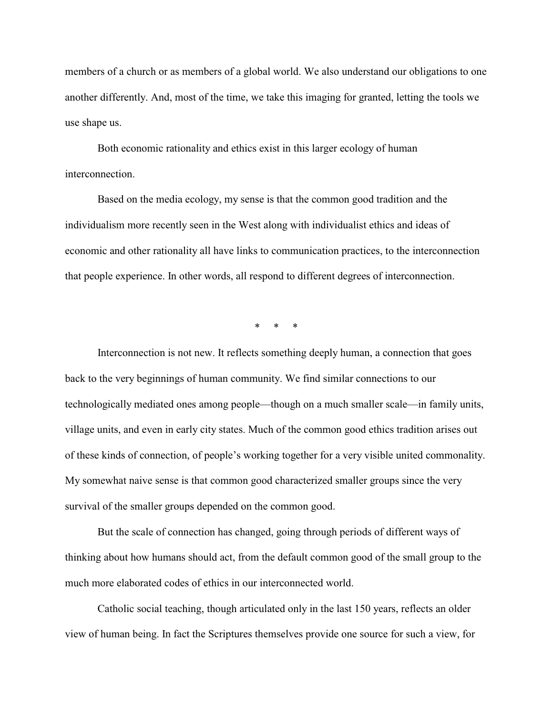members of a church or as members of a global world. We also understand our obligations to one another differently. And, most of the time, we take this imaging for granted, letting the tools we use shape us.

Both economic rationality and ethics exist in this larger ecology of human interconnection.

Based on the media ecology, my sense is that the common good tradition and the individualism more recently seen in the West along with individualist ethics and ideas of economic and other rationality all have links to communication practices, to the interconnection that people experience. In other words, all respond to different degrees of interconnection.

\* \* \*

Interconnection is not new. It reflects something deeply human, a connection that goes back to the very beginnings of human community. We find similar connections to our technologically mediated ones among people—though on a much smaller scale—in family units, village units, and even in early city states. Much of the common good ethics tradition arises out of these kinds of connection, of people's working together for a very visible united commonality. My somewhat naive sense is that common good characterized smaller groups since the very survival of the smaller groups depended on the common good.

But the scale of connection has changed, going through periods of different ways of thinking about how humans should act, from the default common good of the small group to the much more elaborated codes of ethics in our interconnected world.

Catholic social teaching, though articulated only in the last 150 years, reflects an older view of human being. In fact the Scriptures themselves provide one source for such a view, for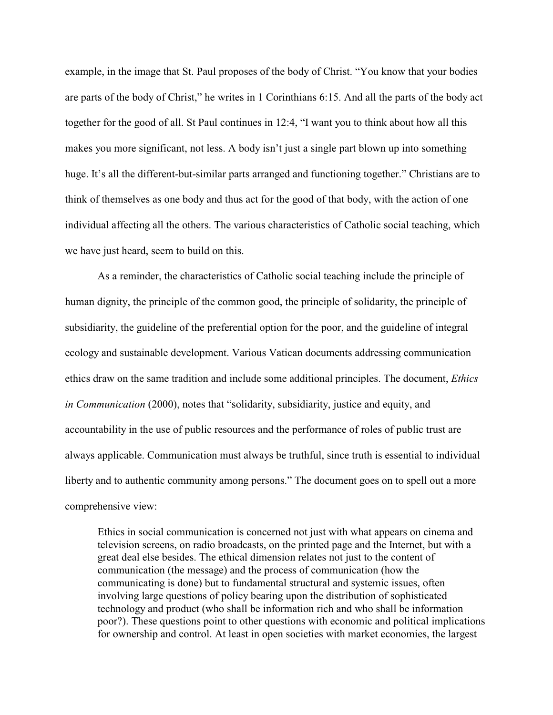example, in the image that St. Paul proposes of the body of Christ. "You know that your bodies are parts of the body of Christ," he writes in 1 Corinthians 6:15. And all the parts of the body act together for the good of all. St Paul continues in 12:4, "I want you to think about how all this makes you more significant, not less. A body isn't just a single part blown up into something huge. It's all the different-but-similar parts arranged and functioning together." Christians are to think of themselves as one body and thus act for the good of that body, with the action of one individual affecting all the others. The various characteristics of Catholic social teaching, which we have just heard, seem to build on this.

As a reminder, the characteristics of Catholic social teaching include the principle of human dignity, the principle of the common good, the principle of solidarity, the principle of subsidiarity, the guideline of the preferential option for the poor, and the guideline of integral ecology and sustainable development. Various Vatican documents addressing communication ethics draw on the same tradition and include some additional principles. The document, *Ethics in Communication* (2000), notes that "solidarity, subsidiarity, justice and equity, and accountability in the use of public resources and the performance of roles of public trust are always applicable. Communication must always be truthful, since truth is essential to individual liberty and to authentic community among persons." The document goes on to spell out a more comprehensive view:

Ethics in social communication is concerned not just with what appears on cinema and television screens, on radio broadcasts, on the printed page and the Internet, but with a great deal else besides. The ethical dimension relates not just to the content of communication (the message) and the process of communication (how the communicating is done) but to fundamental structural and systemic issues, often involving large questions of policy bearing upon the distribution of sophisticated technology and product (who shall be information rich and who shall be information poor?). These questions point to other questions with economic and political implications for ownership and control. At least in open societies with market economies, the largest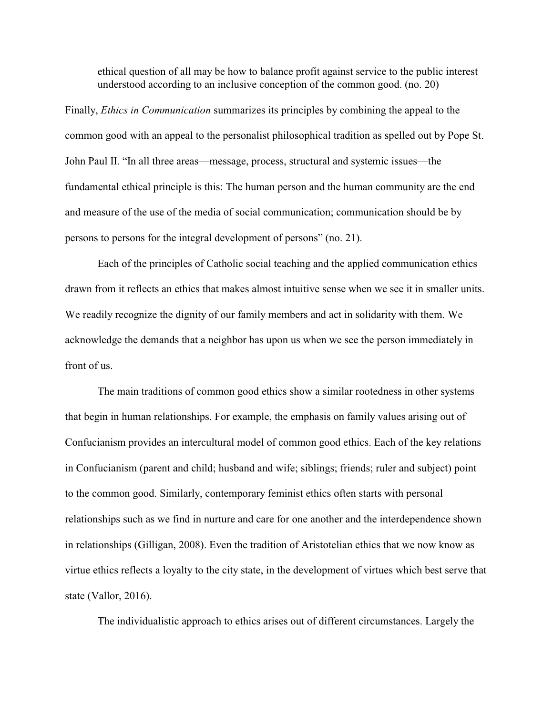ethical question of all may be how to balance profit against service to the public interest understood according to an inclusive conception of the common good. (no. 20)

Finally, *Ethics in Communication* summarizes its principles by combining the appeal to the common good with an appeal to the personalist philosophical tradition as spelled out by Pope St. John Paul II. "In all three areas—message, process, structural and systemic issues—the fundamental ethical principle is this: The human person and the human community are the end and measure of the use of the media of social communication; communication should be by persons to persons for the integral development of persons" (no. 21).

Each of the principles of Catholic social teaching and the applied communication ethics drawn from it reflects an ethics that makes almost intuitive sense when we see it in smaller units. We readily recognize the dignity of our family members and act in solidarity with them. We acknowledge the demands that a neighbor has upon us when we see the person immediately in front of us.

The main traditions of common good ethics show a similar rootedness in other systems that begin in human relationships. For example, the emphasis on family values arising out of Confucianism provides an intercultural model of common good ethics. Each of the key relations in Confucianism (parent and child; husband and wife; siblings; friends; ruler and subject) point to the common good. Similarly, contemporary feminist ethics often starts with personal relationships such as we find in nurture and care for one another and the interdependence shown in relationships (Gilligan, 2008). Even the tradition of Aristotelian ethics that we now know as virtue ethics reflects a loyalty to the city state, in the development of virtues which best serve that state (Vallor, 2016).

The individualistic approach to ethics arises out of different circumstances. Largely the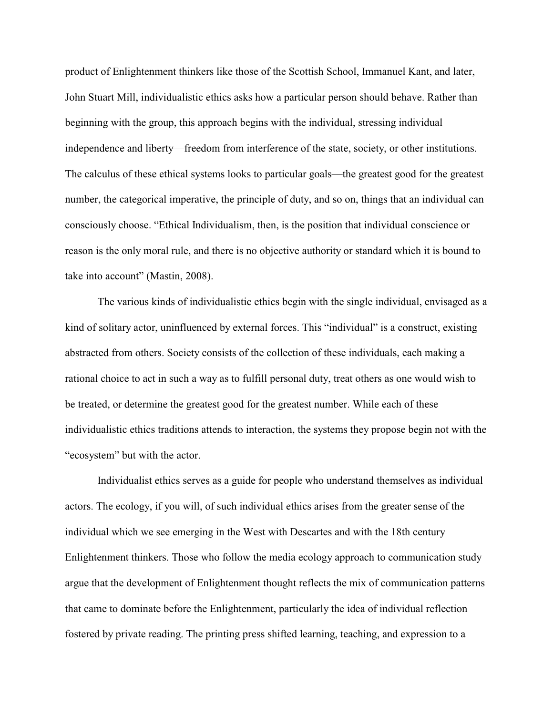product of Enlightenment thinkers like those of the Scottish School, Immanuel Kant, and later, John Stuart Mill, individualistic ethics asks how a particular person should behave. Rather than beginning with the group, this approach begins with the individual, stressing individual independence and liberty—freedom from interference of the state, society, or other institutions. The calculus of these ethical systems looks to particular goals—the greatest good for the greatest number, the categorical imperative, the principle of duty, and so on, things that an individual can consciously choose. "Ethical Individualism, then, is the position that individual conscience or reason is the only moral rule, and there is no objective authority or standard which it is bound to take into account" (Mastin, 2008).

The various kinds of individualistic ethics begin with the single individual, envisaged as a kind of solitary actor, uninfluenced by external forces. This "individual" is a construct, existing abstracted from others. Society consists of the collection of these individuals, each making a rational choice to act in such a way as to fulfill personal duty, treat others as one would wish to be treated, or determine the greatest good for the greatest number. While each of these individualistic ethics traditions attends to interaction, the systems they propose begin not with the "ecosystem" but with the actor.

Individualist ethics serves as a guide for people who understand themselves as individual actors. The ecology, if you will, of such individual ethics arises from the greater sense of the individual which we see emerging in the West with Descartes and with the 18th century Enlightenment thinkers. Those who follow the media ecology approach to communication study argue that the development of Enlightenment thought reflects the mix of communication patterns that came to dominate before the Enlightenment, particularly the idea of individual reflection fostered by private reading. The printing press shifted learning, teaching, and expression to a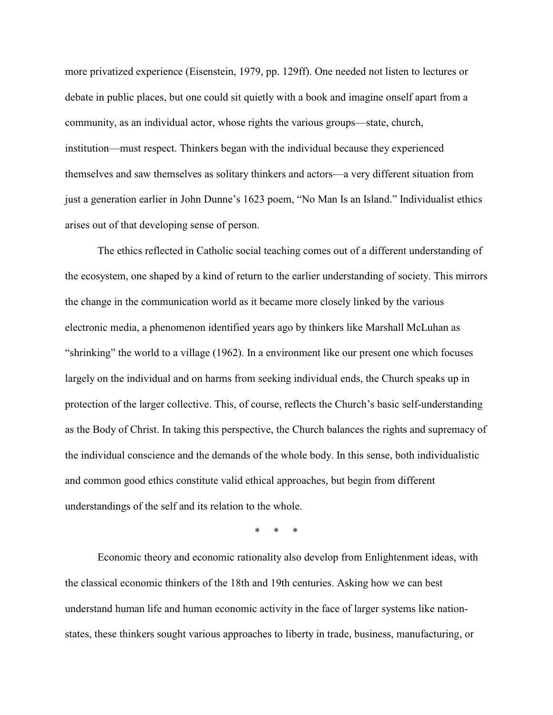more privatized experience (Eisenstein, 1979, pp. 129ff). One needed not listen to lectures or debate in public places, but one could sit quietly with a book and imagine onself apart from a community, as an individual actor, whose rights the various groups—state, church, institution—must respect. Thinkers began with the individual because they experienced themselves and saw themselves as solitary thinkers and actors—a very different situation from just a generation earlier in John Dunne's 1623 poem, "No Man Is an Island." Individualist ethics arises out of that developing sense of person.

The ethics reflected in Catholic social teaching comes out of a different understanding of the ecosystem, one shaped by a kind of return to the earlier understanding of society. This mirrors the change in the communication world as it became more closely linked by the various electronic media, a phenomenon identified years ago by thinkers like Marshall McLuhan as "shrinking" the world to a village (1962). In a environment like our present one which focuses largely on the individual and on harms from seeking individual ends, the Church speaks up in protection of the larger collective. This, of course, reflects the Church's basic self-understanding as the Body of Christ. In taking this perspective, the Church balances the rights and supremacy of the individual conscience and the demands of the whole body. In this sense, both individualistic and common good ethics constitute valid ethical approaches, but begin from different understandings of the self and its relation to the whole.

\* \* \*

Economic theory and economic rationality also develop from Enlightenment ideas, with the classical economic thinkers of the 18th and 19th centuries. Asking how we can best understand human life and human economic activity in the face of larger systems like nationstates, these thinkers sought various approaches to liberty in trade, business, manufacturing, or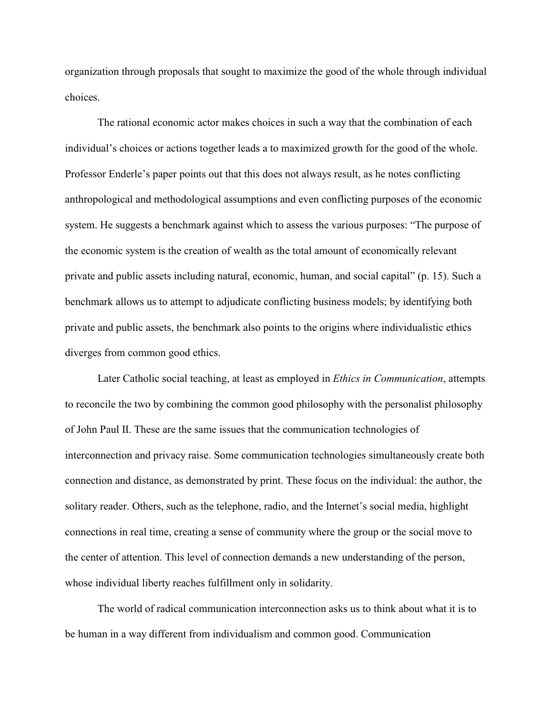organization through proposals that sought to maximize the good of the whole through individual choices.

The rational economic actor makes choices in such a way that the combination of each individual's choices or actions together leads a to maximized growth for the good of the whole. Professor Enderle's paper points out that this does not always result, as he notes conflicting anthropological and methodological assumptions and even conflicting purposes of the economic system. He suggests a benchmark against which to assess the various purposes: "The purpose of the economic system is the creation of wealth as the total amount of economically relevant private and public assets including natural, economic, human, and social capital" (p. 15). Such a benchmark allows us to attempt to adjudicate conflicting business models; by identifying both private and public assets, the benchmark also points to the origins where individualistic ethics diverges from common good ethics.

Later Catholic social teaching, at least as employed in *Ethics in Communication*, attempts to reconcile the two by combining the common good philosophy with the personalist philosophy of John Paul II. These are the same issues that the communication technologies of interconnection and privacy raise. Some communication technologies simultaneously create both connection and distance, as demonstrated by print. These focus on the individual: the author, the solitary reader. Others, such as the telephone, radio, and the Internet's social media, highlight connections in real time, creating a sense of community where the group or the social move to the center of attention. This level of connection demands a new understanding of the person, whose individual liberty reaches fulfillment only in solidarity.

The world of radical communication interconnection asks us to think about what it is to be human in a way different from individualism and common good. Communication